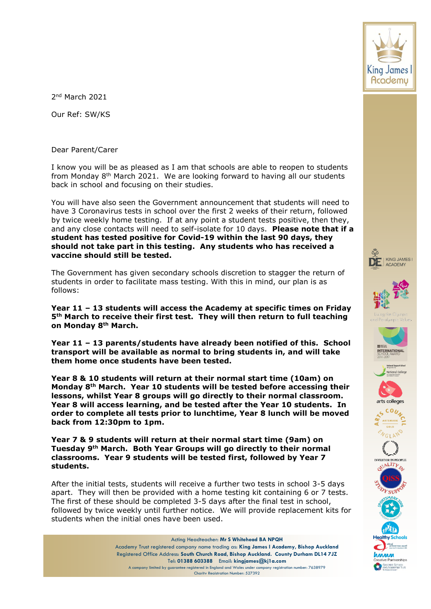

2 nd March 2021

Our Ref: SW/KS

Dear Parent/Carer

I know you will be as pleased as I am that schools are able to reopen to students from Monday  $8<sup>th</sup>$  March 2021. We are looking forward to having all our students back in school and focusing on their studies.

You will have also seen the Government announcement that students will need to have 3 Coronavirus tests in school over the first 2 weeks of their return, followed by twice weekly home testing. If at any point a student tests positive, then they, and any close contacts will need to self-isolate for 10 days. **Please note that if a student has tested positive for Covid-19 within the last 90 days, they should not take part in this testing. Any students who has received a vaccine should still be tested.**

The Government has given secondary schools discretion to stagger the return of students in order to facilitate mass testing. With this in mind, our plan is as follows:

**Year 11 – 13 students will access the Academy at specific times on Friday 5th March to receive their first test. They will then return to full teaching on Monday 8th March.** 

**Year 11 – 13 parents/students have already been notified of this. School transport will be available as normal to bring students in, and will take them home once students have been tested.**

**Year 8 & 10 students will return at their normal start time (10am) on Monday 8th March. Year 10 students will be tested before accessing their lessons, whilst Year 8 groups will go directly to their normal classroom. Year 8 will access learning, and be tested after the Year 10 students. In order to complete all tests prior to lunchtime, Year 8 lunch will be moved back from 12:30pm to 1pm.**

**Year 7 & 9 students will return at their normal start time (9am) on Tuesday 9th March. Both Year Groups will go directly to their normal classrooms. Year 9 students will be tested first, followed by Year 7 students.**

After the initial tests, students will receive a further two tests in school 3-5 days apart. They will then be provided with a home testing kit containing 6 or 7 tests. The first of these should be completed 3-5 days after the final test in school, followed by twice weekly until further notice. We will provide replacement kits for students when the initial ones have been used.

> Acting Headteacher: **Mr S Whitehead BA NPQH** Academy Trust registered company name trading as: **King James I Academy, Bishop Auckland** Registered Office Address: **South Church Road, Bishop Auckland. County Durham DL14 7JZ** Tel: **01388 603388** Email: **kingjames@kj1a.com** A company limited by guarantee registered in England and Wales under company registration number: 7638979 Charity Registration Number: 527392















**MA AA AA** 

Specialist Schools<br>and Academies Trust